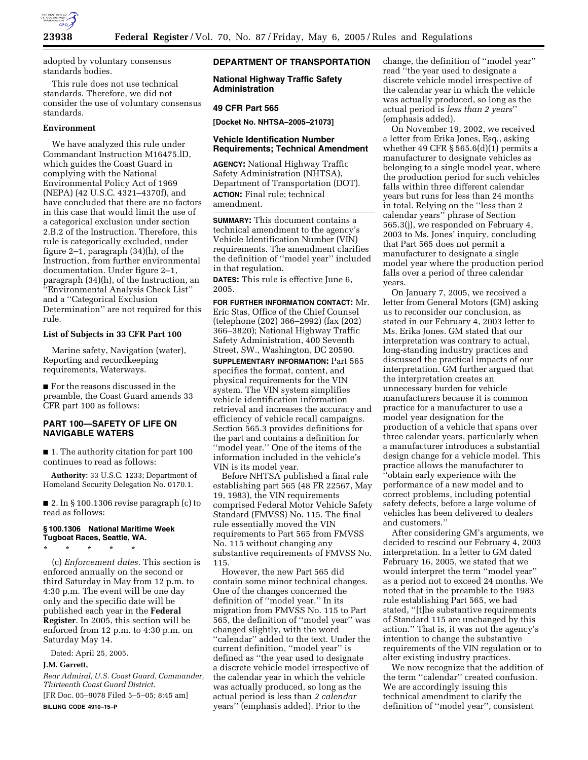

adopted by voluntary consensus standards bodies.

This rule does not use technical standards. Therefore, we did not consider the use of voluntary consensus standards.

### **Environment**

We have analyzed this rule under Commandant Instruction M16475.lD, which guides the Coast Guard in complying with the National Environmental Policy Act of 1969 (NEPA) (42 U.S.C. 4321–4370f), and have concluded that there are no factors in this case that would limit the use of a categorical exclusion under section 2.B.2 of the Instruction. Therefore, this rule is categorically excluded, under figure 2–1, paragraph (34)(h), of the Instruction, from further environmental documentation. Under figure 2–1, paragraph (34)(h), of the Instruction, an ''Environmental Analysis Check List'' and a ''Categorical Exclusion Determination'' are not required for this rule.

### **List of Subjects in 33 CFR Part 100**

Marine safety, Navigation (water), Reporting and recordkeeping requirements, Waterways.

■ For the reasons discussed in the preamble, the Coast Guard amends 33 CFR part 100 as follows:

# **PART 100—SAFETY OF LIFE ON NAVIGABLE WATERS**

■ 1. The authority citation for part 100 continues to read as follows:

**Authority:** 33 U.S.C. 1233; Department of Homeland Security Delegation No. 0170.1.

■ 2. In § 100.1306 revise paragraph (c) to read as follows:

### **§ 100.1306 National Maritime Week Tugboat Races, Seattle, WA.**

\* \* \* \* \* (c) *Enforcement dates.* This section is enforced annually on the second or third Saturday in May from 12 p.m. to 4:30 p.m. The event will be one day only and the specific date will be published each year in the **Federal Register**. In 2005, this section will be enforced from 12 p.m. to 4:30 p.m. on

Dated: April 25, 2005.

Saturday May 14.

### **J.M. Garrett,**

*Rear Admiral, U.S. Coast Guard, Commander, Thirteenth Coast Guard District.*

[FR Doc. 05–9078 Filed 5–5–05; 8:45 am] **BILLING CODE 4910–15–P**

# **DEPARTMENT OF TRANSPORTATION**

**National Highway Traffic Safety Administration** 

# **49 CFR Part 565**

**[Docket No. NHTSA–2005–21073]** 

### **Vehicle Identification Number Requirements; Technical Amendment**

**AGENCY:** National Highway Traffic Safety Administration (NHTSA), Department of Transportation (DOT). **ACTION:** Final rule; technical amendment.

**SUMMARY:** This document contains a technical amendment to the agency's Vehicle Identification Number (VIN) requirements. The amendment clarifies the definition of ''model year'' included in that regulation.

**DATES:** This rule is effective June 6, 2005.

**FOR FURTHER INFORMATION CONTACT:** Mr. Eric Stas, Office of the Chief Counsel (telephone (202) 366–2992) (fax (202) 366–3820); National Highway Traffic Safety Administration, 400 Seventh Street, SW., Washington, DC 20590.

**SUPPLEMENTARY INFORMATION:** Part 565 specifies the format, content, and physical requirements for the VIN system. The VIN system simplifies vehicle identification information retrieval and increases the accuracy and efficiency of vehicle recall campaigns. Section 565.3 provides definitions for the part and contains a definition for ''model year.'' One of the items of the information included in the vehicle's VIN is its model year.

Before NHTSA published a final rule establishing part 565 (48 FR 22567, May 19, 1983), the VIN requirements comprised Federal Motor Vehicle Safety Standard (FMVSS) No. 115. The final rule essentially moved the VIN requirements to Part 565 from FMVSS No. 115 without changing any substantive requirements of FMVSS No. 115.

However, the new Part 565 did contain some minor technical changes. One of the changes concerned the definition of ''model year.'' In its migration from FMVSS No. 115 to Part 565, the definition of ''model year'' was changed slightly, with the word ''calendar'' added to the text. Under the current definition, ''model year'' is defined as ''the year used to designate a discrete vehicle model irrespective of the calendar year in which the vehicle was actually produced, so long as the actual period is less than *2 calendar* years'' (emphasis added). Prior to the

change, the definition of ''model year'' read ''the year used to designate a discrete vehicle model irrespective of the calendar year in which the vehicle was actually produced, so long as the actual period is *less than 2 years*'' (emphasis added).

On November 19, 2002, we received a letter from Erika Jones, Esq., asking whether 49 CFR  $\S 565.6(d)(1)$  permits a manufacturer to designate vehicles as belonging to a single model year, where the production period for such vehicles falls within three different calendar years but runs for less than 24 months in total. Relying on the ''less than 2 calendar years'' phrase of Section 565.3(j), we responded on February 4, 2003 to Ms. Jones' inquiry, concluding that Part 565 does not permit a manufacturer to designate a single model year where the production period falls over a period of three calendar years.

On January 7, 2005, we received a letter from General Motors (GM) asking us to reconsider our conclusion, as stated in our February 4, 2003 letter to Ms. Erika Jones. GM stated that our interpretation was contrary to actual, long-standing industry practices and discussed the practical impacts of our interpretation. GM further argued that the interpretation creates an unnecessary burden for vehicle manufacturers because it is common practice for a manufacturer to use a model year designation for the production of a vehicle that spans over three calendar years, particularly when a manufacturer introduces a substantial design change for a vehicle model. This practice allows the manufacturer to ''obtain early experience with the performance of a new model and to correct problems, including potential safety defects, before a large volume of vehicles has been delivered to dealers and customers.''

After considering GM's arguments, we decided to rescind our February 4, 2003 interpretation. In a letter to GM dated February 16, 2005, we stated that we would interpret the term ''model year'' as a period not to exceed 24 months. We noted that in the preamble to the 1983 rule establishing Part 565, we had stated, ''[t]he substantive requirements of Standard 115 are unchanged by this action.'' That is, it was not the agency's intention to change the substantive requirements of the VIN regulation or to alter existing industry practices.

We now recognize that the addition of the term ''calendar'' created confusion. We are accordingly issuing this technical amendment to clarify the definition of ''model year'', consistent